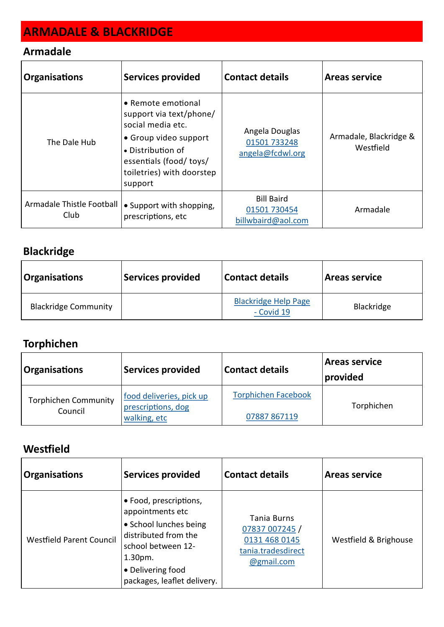# **ARMADALE & BLACKRIDGE**

#### **Armadale**

| <b>Organisations</b>              | <b>Services provided</b>                                                                                                                                                                    | Contact details                                         | <b>Areas service</b>                |
|-----------------------------------|---------------------------------------------------------------------------------------------------------------------------------------------------------------------------------------------|---------------------------------------------------------|-------------------------------------|
| The Dale Hub                      | $\bullet$ Remote emotional<br>support via text/phone/<br>social media etc.<br>• Group video support<br>• Distribution of<br>essentials (food/ toys/<br>toiletries) with doorstep<br>support | Angela Douglas<br>01501 733248<br>angela@fcdwl.org      | Armadale, Blackridge &<br>Westfield |
| Armadale Thistle Football<br>Club | • Support with shopping,<br>prescriptions, etc                                                                                                                                              | <b>Bill Baird</b><br>01501 730454<br>billwbaird@aol.com | Armadale                            |

### **Blackridge**

| <b>Organisations</b>        | Services provided | Contact details                           | <b>Areas service</b> |
|-----------------------------|-------------------|-------------------------------------------|----------------------|
| <b>Blackridge Community</b> |                   | <b>Blackridge Help Page</b><br>- Covid 19 | Blackridge           |

## **Torphichen**

| <b>Organisations</b>                   | <b>Services provided</b>                       | <b>Contact details</b>     | Areas service<br>provided |
|----------------------------------------|------------------------------------------------|----------------------------|---------------------------|
| <b>Torphichen Community</b><br>Council | food deliveries, pick up<br>prescriptions, dog | <b>Torphichen Facebook</b> | Torphichen                |
|                                        | walking, etc                                   | 07887 867119               |                           |

### **Westfield**

| <b>Organisations</b>            | <b>Services provided</b>                                                                                                                                                             | <b>Contact details</b>                                                             | <b>Areas service</b>  |
|---------------------------------|--------------------------------------------------------------------------------------------------------------------------------------------------------------------------------------|------------------------------------------------------------------------------------|-----------------------|
| <b>Westfield Parent Council</b> | • Food, prescriptions,<br>appointments etc<br>• School lunches being<br>distributed from the<br>school between 12-<br>$1.30pm$ .<br>• Delivering food<br>packages, leaflet delivery. | Tania Burns<br>07837 007245 /<br>0131 468 0145<br>tania.tradesdirect<br>@gmail.com | Westfield & Brighouse |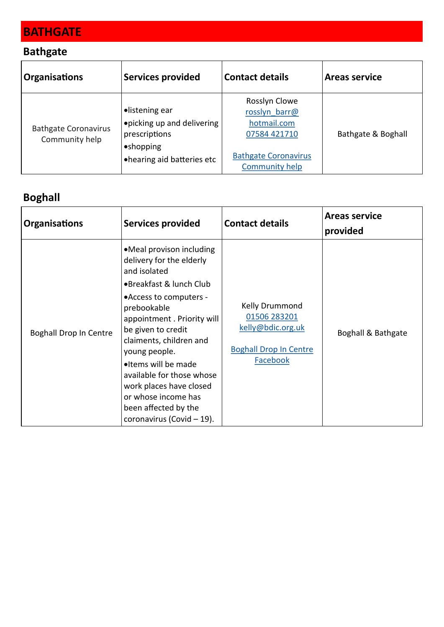# **BATHGATE**

#### **Bathgate**

| <b>Organisations</b>                          | Services provided                                                                                         | <b>Contact details</b>                                                                                                | <b>Areas service</b> |
|-----------------------------------------------|-----------------------------------------------------------------------------------------------------------|-----------------------------------------------------------------------------------------------------------------------|----------------------|
| <b>Bathgate Coronavirus</b><br>Community help | •listening ear<br>opicking up and delivering<br>prescriptions<br>•shopping<br>• hearing aid batteries etc | Rosslyn Clowe<br>rosslyn barr@<br>hotmail.com<br>07584 421710<br><b>Bathgate Coronavirus</b><br><b>Community help</b> | Bathgate & Boghall   |

## **Boghall**

| <b>Organisations</b>          | <b>Services provided</b>                                                                                                                                                                                                                                                                                                                                                                             | <b>Contact details</b>                                                                           | <b>Areas service</b><br>provided |
|-------------------------------|------------------------------------------------------------------------------------------------------------------------------------------------------------------------------------------------------------------------------------------------------------------------------------------------------------------------------------------------------------------------------------------------------|--------------------------------------------------------------------------------------------------|----------------------------------|
| <b>Boghall Drop In Centre</b> | •Meal provison including<br>delivery for the elderly<br>and isolated<br>•Breakfast & lunch Club<br>• Access to computers -<br>prebookable<br>appointment. Priority will<br>be given to credit<br>claiments, children and<br>young people.<br>•Items will be made<br>available for those whose<br>work places have closed<br>or whose income has<br>been affected by the<br>coronavirus (Covid - 19). | Kelly Drummond<br>01506 283201<br>kelly@bdic.org.uk<br><b>Boghall Drop In Centre</b><br>Facebook | Boghall & Bathgate               |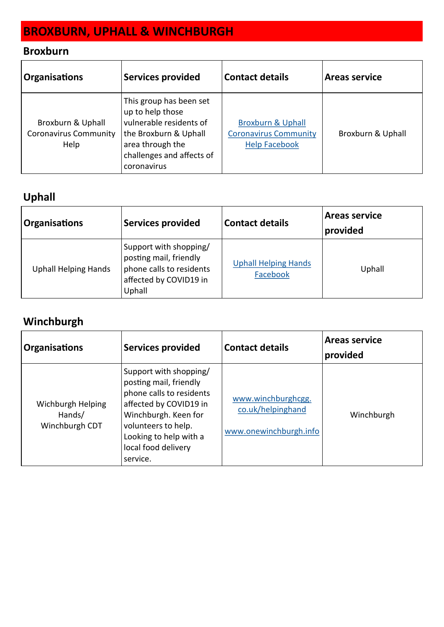# **BROXBURN, UPHALL & WINCHBURGH**

### **Broxburn**

| <b>Organisations</b>                                      | <b>Services provided</b>                                                                                                                                        | <b>Contact details</b>                                                               | <b>Areas service</b> |
|-----------------------------------------------------------|-----------------------------------------------------------------------------------------------------------------------------------------------------------------|--------------------------------------------------------------------------------------|----------------------|
| Broxburn & Uphall<br><b>Coronavirus Community</b><br>Help | This group has been set<br>up to help those<br>vulnerable residents of<br>the Broxburn & Uphall<br>area through the<br>challenges and affects of<br>coronavirus | <b>Broxburn &amp; Uphall</b><br><b>Coronavirus Community</b><br><b>Help Facebook</b> | Broxburn & Uphall    |

### **Uphall**

| <b>Organisations</b>        | Services provided                                                                                                | <b>Contact details</b>                  | <b>Areas service</b><br>provided |
|-----------------------------|------------------------------------------------------------------------------------------------------------------|-----------------------------------------|----------------------------------|
| <b>Uphall Helping Hands</b> | Support with shopping/<br>posting mail, friendly<br>phone calls to residents<br>affected by COVID19 in<br>Uphall | <b>Uphall Helping Hands</b><br>Facebook | Uphall                           |

### **Winchburgh**

| <b>Organisations</b>                          | <b>Services provided</b>                                                                                                                                                                                           | Contact details                                                   | <b>Areas service</b><br>provided |
|-----------------------------------------------|--------------------------------------------------------------------------------------------------------------------------------------------------------------------------------------------------------------------|-------------------------------------------------------------------|----------------------------------|
| Wichburgh Helping<br>Hands/<br>Winchburgh CDT | Support with shopping/<br>posting mail, friendly<br>phone calls to residents<br>affected by COVID19 in<br>Winchburgh. Keen for<br>volunteers to help.<br>Looking to help with a<br>local food delivery<br>service. | www.winchburghcgg.<br>co.uk/helpinghand<br>www.onewinchburgh.info | Winchburgh                       |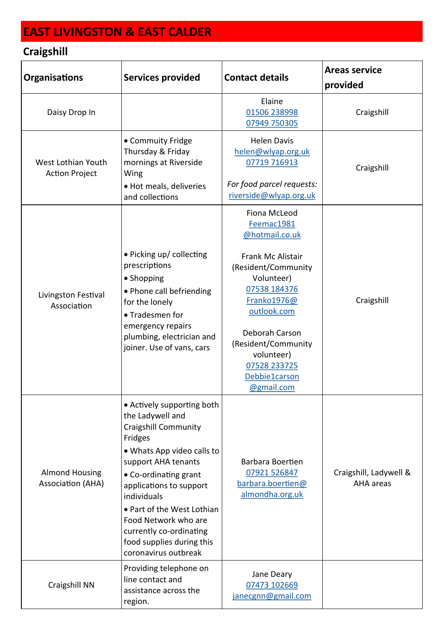# **EAST LIVINGSTON & EAST CALDER**

## **Craigshill**

| <b>Organisations</b>                              | <b>Services provided</b>                                                                                                                                                                                                                                                                                                                               | <b>Contact details</b>                                                                                                                                                                                                                                     | <b>Areas service</b><br>provided    |
|---------------------------------------------------|--------------------------------------------------------------------------------------------------------------------------------------------------------------------------------------------------------------------------------------------------------------------------------------------------------------------------------------------------------|------------------------------------------------------------------------------------------------------------------------------------------------------------------------------------------------------------------------------------------------------------|-------------------------------------|
| Daisy Drop In                                     |                                                                                                                                                                                                                                                                                                                                                        | Elaine<br>01506 238998<br>07949 750305                                                                                                                                                                                                                     | Craigshill                          |
| West Lothian Youth<br><b>Action Project</b>       | • Commuity Fridge<br>Thursday & Friday<br>mornings at Riverside<br>Wing<br>• Hot meals, deliveries<br>and collections                                                                                                                                                                                                                                  | <b>Helen Davis</b><br>helen@wlyap.org.uk<br>07719 716913<br>For food parcel requests:<br>riverside@wlyap.org.uk                                                                                                                                            | Craigshill                          |
| Livingston Festival<br>Association                | • Picking up/ collecting<br>prescriptions<br>• Shopping<br>• Phone call befriending<br>for the lonely<br>• Tradesmen for<br>emergency repairs<br>plumbing, electrician and<br>joiner. Use of vans, cars                                                                                                                                                | Fiona McLeod<br>Feemac1981<br>@hotmail.co.uk<br>Frank Mc Alistair<br>(Resident/Community<br>Volunteer)<br>07538 184376<br>Franko1976@<br>outlook.com<br>Deborah Carson<br>(Resident/Community<br>volunteer)<br>07528 233725<br>Debbie1carson<br>@gmail.com | Craigshill                          |
| <b>Almond Housing</b><br><b>Association (AHA)</b> | • Actively supporting both<br>the Ladywell and<br><b>Craigshill Community</b><br>Fridges<br>• Whats App video calls to<br>support AHA tenants<br>• Co-ordinating grant<br>applications to support<br>individuals<br>• Part of the West Lothian<br>Food Network who are<br>currently co-ordinating<br>food supplies during this<br>coronavirus outbreak | Barbara Boertien<br>07921 526847<br>barbara.boertien@<br>almondha.org.uk                                                                                                                                                                                   | Craigshill, Ladywell &<br>AHA areas |
| Craigshill NN                                     | Providing telephone on<br>line contact and<br>assistance across the<br>region.                                                                                                                                                                                                                                                                         | Jane Deary<br>07473 102669<br>janecgnn@gmail.com                                                                                                                                                                                                           |                                     |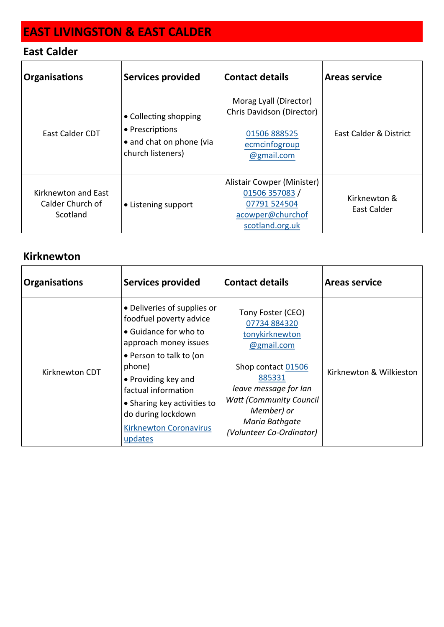# **EAST LIVINGSTON & EAST CALDER**

#### **East Calder**

| <b>Organisations</b>                                | <b>Services provided</b>                                                                  | <b>Contact details</b>                                                                              | <b>Areas service</b>        |
|-----------------------------------------------------|-------------------------------------------------------------------------------------------|-----------------------------------------------------------------------------------------------------|-----------------------------|
| East Calder CDT                                     | • Collecting shopping<br>• Prescriptions<br>• and chat on phone (via<br>church listeners) | Morag Lyall (Director)<br>Chris Davidson (Director)<br>01506 888525<br>ecmcinfogroup<br>@gmail.com  | East Calder & District      |
| Kirknewton and East<br>Calder Church of<br>Scotland | • Listening support                                                                       | Alistair Cowper (Minister)<br>01506 357083 /<br>07791 524504<br>acowper@churchof<br>scotland.org.uk | Kirknewton &<br>East Calder |

#### **Kirknewton**

| <b>Organisations</b> | <b>Services provided</b>                                                                                                                                                                                                                                                                     | <b>Contact details</b>                                                                                                                                                                                                    | <b>Areas service</b>    |
|----------------------|----------------------------------------------------------------------------------------------------------------------------------------------------------------------------------------------------------------------------------------------------------------------------------------------|---------------------------------------------------------------------------------------------------------------------------------------------------------------------------------------------------------------------------|-------------------------|
| Kirknewton CDT       | • Deliveries of supplies or<br>foodfuel poverty advice<br>• Guidance for who to<br>approach money issues<br>• Person to talk to (on<br>phone)<br>• Providing key and<br>factual information<br>• Sharing key activities to<br>do during lockdown<br><b>Kirknewton Coronavirus</b><br>updates | Tony Foster (CEO)<br>07734 884320<br>tonykirknewton<br>@gmail.com<br>Shop contact 01506<br>885331<br>leave message for lan<br><b>Watt (Community Council)</b><br>Member) or<br>Maria Bathqate<br>(Volunteer Co-Ordinator) | Kirknewton & Wilkieston |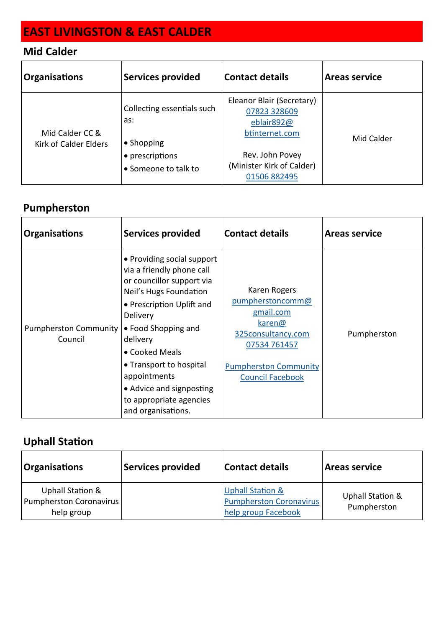# **EAST LIVINGSTON & EAST CALDER**

### **Mid Calder**

| <b>Organisations</b>                            | <b>Services provided</b>                                                                   | <b>Contact details</b>                                                                                                                    | <b>Areas service</b> |
|-------------------------------------------------|--------------------------------------------------------------------------------------------|-------------------------------------------------------------------------------------------------------------------------------------------|----------------------|
| Mid Calder CC &<br><b>Kirk of Calder Elders</b> | Collecting essentials such<br>as:<br>• Shopping<br>• prescriptions<br>• Someone to talk to | Eleanor Blair (Secretary)<br>07823 328609<br>eblair892@<br>btinternet.com<br>Rev. John Povey<br>(Minister Kirk of Calder)<br>01506 882495 | Mid Calder           |

### **Pumpherston**

| <b>Organisations</b>                    | <b>Services provided</b>                                                                                                                                                                                                                                                                                                             | <b>Contact details</b>                                                                                                                                   | <b>Areas service</b> |
|-----------------------------------------|--------------------------------------------------------------------------------------------------------------------------------------------------------------------------------------------------------------------------------------------------------------------------------------------------------------------------------------|----------------------------------------------------------------------------------------------------------------------------------------------------------|----------------------|
| <b>Pumpherston Community</b><br>Council | • Providing social support<br>via a friendly phone call<br>or councillor support via<br>Neil's Hugs Foundation<br>• Prescription Uplift and<br>Delivery<br>• Food Shopping and<br>delivery<br>• Cooked Meals<br>• Transport to hospital<br>appointments<br>• Advice and signposting<br>to appropriate agencies<br>and organisations. | Karen Rogers<br>pumpherstoncomm@<br>gmail.com<br>karen@<br>325consultancy.com<br>07534 761457<br><b>Pumpherston Community</b><br><b>Council Facebook</b> | Pumpherston          |

### **Uphall Station**

| <b>Organisations</b>                                      | <b>Services provided</b> | <b>Contact details</b>                                                               | Areas service                   |
|-----------------------------------------------------------|--------------------------|--------------------------------------------------------------------------------------|---------------------------------|
| Uphall Station &<br>Pumpherston Coronavirus<br>help group |                          | <b>Uphall Station &amp;</b><br><b>Pumpherston Coronavirus</b><br>help group Facebook | Uphall Station &<br>Pumpherston |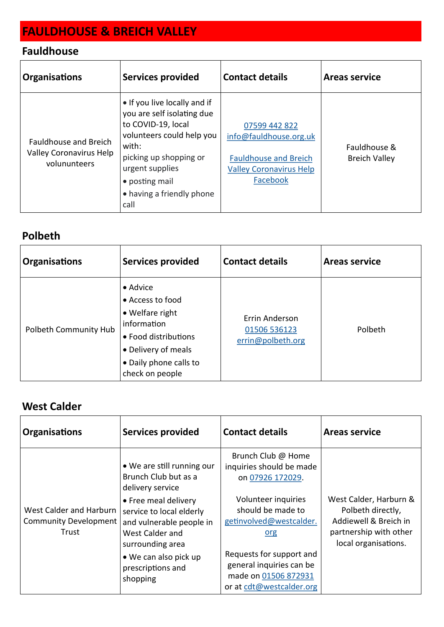# **FAULDHOUSE & BREICH VALLEY**

### **Fauldhouse**

| <b>Organisations</b>                                                           | <b>Services provided</b>                                                                                                                                                                                                   | <b>Contact details</b>                                                                                                | <b>Areas service</b>                 |
|--------------------------------------------------------------------------------|----------------------------------------------------------------------------------------------------------------------------------------------------------------------------------------------------------------------------|-----------------------------------------------------------------------------------------------------------------------|--------------------------------------|
| <b>Fauldhouse and Breich</b><br><b>Valley Coronavirus Help</b><br>volununteers | • If you live locally and if<br>you are self isolating due<br>to COVID-19, local<br>volunteers could help you<br>with:<br>picking up shopping or<br>urgent supplies<br>• posting mail<br>• having a friendly phone<br>call | 07599 442 822<br>info@fauldhouse.org.uk<br><b>Fauldhouse and Breich</b><br><b>Valley Coronavirus Help</b><br>Facebook | Fauldhouse &<br><b>Breich Valley</b> |

#### **Polbeth**

| <b>Organisations</b>  | <b>Services provided</b>                                                                                                                                   | <b>Contact details</b>                              | <b>Areas service</b> |
|-----------------------|------------------------------------------------------------------------------------------------------------------------------------------------------------|-----------------------------------------------------|----------------------|
| Polbeth Community Hub | • Advice<br>• Access to food<br>• Welfare right<br>information<br>• Food distributions<br>• Delivery of meals<br>• Daily phone calls to<br>check on people | Errin Anderson<br>01506 536123<br>errin@polbeth.org | Polbeth              |

### **West Calder**

| <b>Organisations</b>                                             | <b>Services provided</b>                                                                                                                                                                                                                                | <b>Contact details</b>                                                                                                                                                                                                                                       | <b>Areas service</b>                                                                                                   |
|------------------------------------------------------------------|---------------------------------------------------------------------------------------------------------------------------------------------------------------------------------------------------------------------------------------------------------|--------------------------------------------------------------------------------------------------------------------------------------------------------------------------------------------------------------------------------------------------------------|------------------------------------------------------------------------------------------------------------------------|
| West Calder and Harburn<br><b>Community Development</b><br>Trust | • We are still running our<br>Brunch Club but as a<br>delivery service<br>• Free meal delivery<br>service to local elderly<br>and vulnerable people in<br>West Calder and<br>surrounding area<br>• We can also pick up<br>prescriptions and<br>shopping | Brunch Club @ Home<br>inquiries should be made<br>on 07926 172029.<br>Volunteer inquiries<br>should be made to<br>getinvolved@westcalder.<br>org<br>Requests for support and<br>general inquiries can be<br>made on 01506 872931<br>or at cdt@westcalder.org | West Calder, Harburn &<br>Polbeth directly,<br>Addiewell & Breich in<br>partnership with other<br>local organisations. |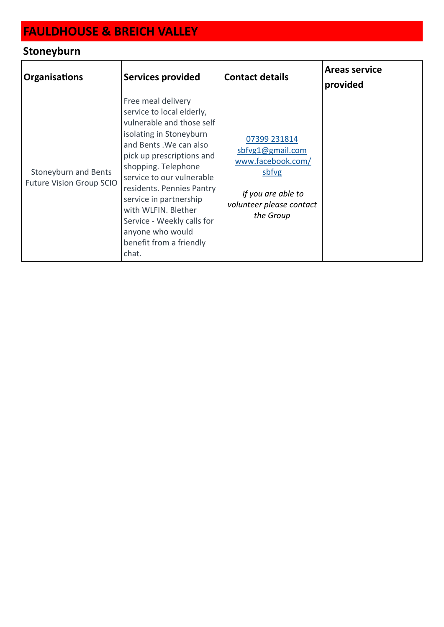# **FAULDHOUSE & BREICH VALLEY**

## **Stoneyburn**

| <b>Organisations</b>                                    | <b>Services provided</b>                                                                                                                                                                                                                                                                                                                                                                | <b>Contact details</b>                                                                                                        | <b>Areas service</b><br>provided |
|---------------------------------------------------------|-----------------------------------------------------------------------------------------------------------------------------------------------------------------------------------------------------------------------------------------------------------------------------------------------------------------------------------------------------------------------------------------|-------------------------------------------------------------------------------------------------------------------------------|----------------------------------|
| Stoneyburn and Bents<br><b>Future Vision Group SCIO</b> | Free meal delivery<br>service to local elderly,<br>vulnerable and those self<br>isolating in Stoneyburn<br>and Bents . We can also<br>pick up prescriptions and<br>shopping. Telephone<br>service to our vulnerable<br>residents. Pennies Pantry<br>service in partnership<br>with WLFIN. Blether<br>Service - Weekly calls for<br>anyone who would<br>benefit from a friendly<br>chat. | 07399 231814<br>sbfvg1@gmail.com<br>www.facebook.com/<br>sbfvg<br>If you are able to<br>volunteer please contact<br>the Group |                                  |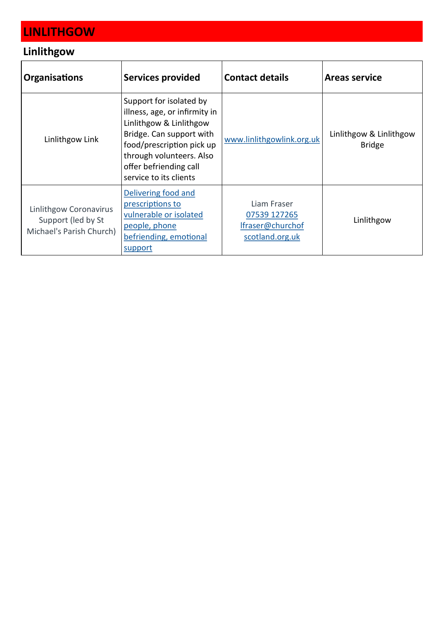# **LINLITHGOW**

### **Linlithgow**

| <b>Organisations</b>                                                            | <b>Services provided</b>                                                                                                                                                                                                     | <b>Contact details</b>                                             | <b>Areas service</b>                     |
|---------------------------------------------------------------------------------|------------------------------------------------------------------------------------------------------------------------------------------------------------------------------------------------------------------------------|--------------------------------------------------------------------|------------------------------------------|
| Linlithgow Link                                                                 | Support for isolated by<br>illness, age, or infirmity in<br>Linlithgow & Linlithgow<br>Bridge. Can support with<br>food/prescription pick up<br>through volunteers. Also<br>offer befriending call<br>service to its clients | www.linlithgowlink.org.uk                                          | Linlithgow & Linlithgow<br><b>Bridge</b> |
| <b>Linlithgow Coronavirus</b><br>Support (led by St<br>Michael's Parish Church) | Delivering food and<br>prescriptions to<br>vulnerable or isolated<br>people, phone<br>befriending, emotional<br>support                                                                                                      | Liam Fraser<br>07539 127265<br>Ifraser@churchof<br>scotland.org.uk | Linlithgow                               |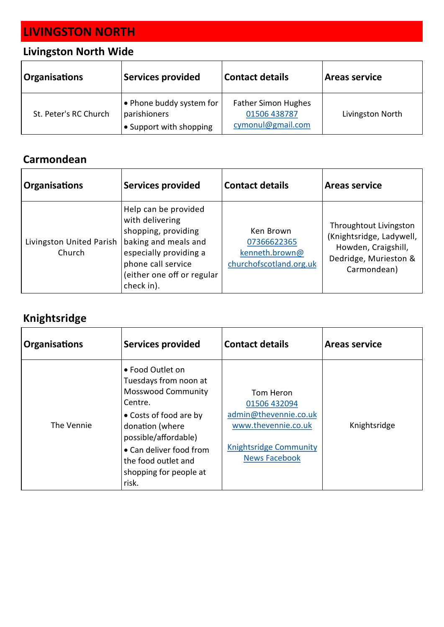# **LIVINGSTON NORTH**

### **Livingston North Wide**

| <b>Organisations</b>  | Services provided                                                   | <b>Contact details</b>                                          | <b>Areas service</b> |
|-----------------------|---------------------------------------------------------------------|-----------------------------------------------------------------|----------------------|
| St. Peter's RC Church | e Phone buddy system for<br>parishioners<br>• Support with shopping | <b>Father Simon Hughes</b><br>01506 438787<br>cymonul@gmail.com | Livingston North     |

#### **Carmondean**

| <b>Organisations</b>               | <b>Services provided</b>                                                                                                                                                           | <b>Contact details</b>                                                | <b>Areas service</b>                                                                                              |
|------------------------------------|------------------------------------------------------------------------------------------------------------------------------------------------------------------------------------|-----------------------------------------------------------------------|-------------------------------------------------------------------------------------------------------------------|
| Livingston United Parish<br>Church | Help can be provided<br>with delivering<br>shopping, providing<br>baking and meals and<br>especially providing a<br>phone call service<br>(either one off or regular<br>check in). | Ken Brown<br>07366622365<br>kenneth.brown@<br>churchofscotland.org.uk | Throughtout Livingston<br>(Knightsridge, Ladywell,<br>Howden, Craigshill,<br>Dedridge, Murieston &<br>Carmondean) |

## **Knightsridge**

| <b>Organisations</b> | <b>Services provided</b>                                                                                                                                                                                                                    | <b>Contact details</b>                                                                                                             | <b>Areas service</b> |
|----------------------|---------------------------------------------------------------------------------------------------------------------------------------------------------------------------------------------------------------------------------------------|------------------------------------------------------------------------------------------------------------------------------------|----------------------|
| The Vennie           | • Food Outlet on<br>Tuesdays from noon at<br><b>Mosswood Community</b><br>Centre.<br>• Costs of food are by<br>donation (where<br>possible/affordable)<br>• Can deliver food from<br>the food outlet and<br>shopping for people at<br>risk. | Tom Heron<br>01506 432094<br>admin@thevennie.co.uk<br>www.thevennie.co.uk<br><b>Knightsridge Community</b><br><b>News Facebook</b> | Knightsridge         |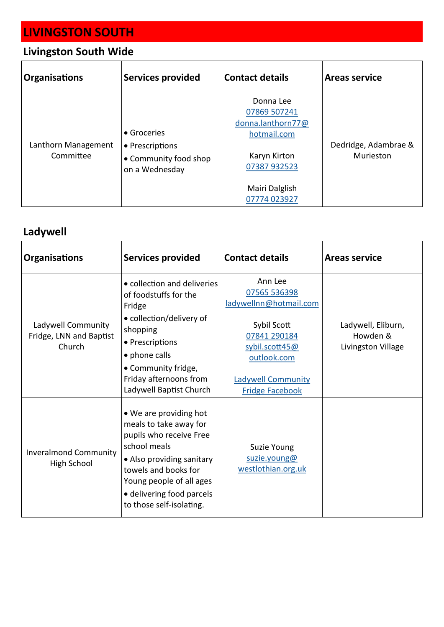# **LIVINGSTON SOUTH**

## **Livingston South Wide**

| <b>Organisations</b>             | <b>Services provided</b>                                                  | <b>Contact details</b>                                                                                                          | <b>Areas service</b>              |
|----------------------------------|---------------------------------------------------------------------------|---------------------------------------------------------------------------------------------------------------------------------|-----------------------------------|
| Lanthorn Management<br>Committee | • Groceries<br>• Prescriptions<br>• Community food shop<br>on a Wednesday | Donna Lee<br>07869 507241<br>donna.lanthorn77@<br>hotmail.com<br>Karyn Kirton<br>07387 932523<br>Mairi Dalglish<br>07774 023927 | Dedridge, Adambrae &<br>Murieston |

## **Ladywell**

| <b>Organisations</b>                                    | <b>Services provided</b>                                                                                                                                                                                                              | <b>Contact details</b>                                                                                                                                                   | <b>Areas service</b>                                 |
|---------------------------------------------------------|---------------------------------------------------------------------------------------------------------------------------------------------------------------------------------------------------------------------------------------|--------------------------------------------------------------------------------------------------------------------------------------------------------------------------|------------------------------------------------------|
| Ladywell Community<br>Fridge, LNN and Baptist<br>Church | • collection and deliveries<br>of foodstuffs for the<br>Fridge<br>• collection/delivery of<br>shopping<br>• Prescriptions<br>• phone calls<br>• Community fridge,<br>Friday afternoons from<br>Ladywell Baptist Church                | Ann Lee<br>07565 536398<br>ladywellnn@hotmail.com<br>Sybil Scott<br>07841 290184<br>sybil.scott45@<br>outlook.com<br><b>Ladywell Community</b><br><b>Fridge Facebook</b> | Ladywell, Eliburn,<br>Howden &<br>Livingston Village |
| <b>Inveralmond Community</b><br>High School             | • We are providing hot<br>meals to take away for<br>pupils who receive Free<br>school meals<br>• Also providing sanitary<br>towels and books for<br>Young people of all ages<br>• delivering food parcels<br>to those self-isolating. | Suzie Young<br>suzie.young@<br>westlothian.org.uk                                                                                                                        |                                                      |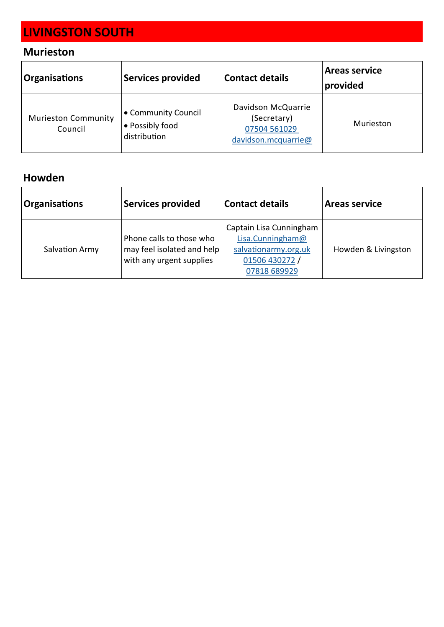# **LIVINGSTON SOUTH**

### **Murieston**

| <b>Organisations</b>                  | <b>Services provided</b>                               | <b>Contact details</b>                                                   | <b>Areas service</b><br>provided |
|---------------------------------------|--------------------------------------------------------|--------------------------------------------------------------------------|----------------------------------|
| <b>Murieston Community</b><br>Council | • Community Council<br>• Possibly food<br>distribution | Davidson McQuarrie<br>(Secretary)<br>07504 561029<br>davidson.mcquarrie@ | Murieston                        |

#### **Howden**

| <b>Organisations</b> | <b>Services provided</b>                                                           | <b>Contact details</b>                                                                                | <b>Areas service</b> |
|----------------------|------------------------------------------------------------------------------------|-------------------------------------------------------------------------------------------------------|----------------------|
| Salvation Army       | Phone calls to those who<br>may feel isolated and help<br>with any urgent supplies | Captain Lisa Cunningham<br>Lisa.Cunningham@<br>salvationarmy.org.uk<br>01506 430272 /<br>07818 689929 | Howden & Livingston  |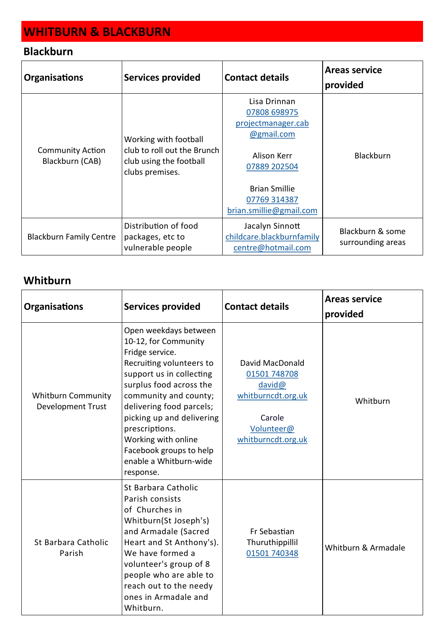# **WHITBURN & BLACKBURN**

#### **Blackburn**

| <b>Organisations</b>                       | <b>Services provided</b>                                                                           | <b>Contact details</b>                                                                                                                                             | <b>Areas service</b><br>provided      |
|--------------------------------------------|----------------------------------------------------------------------------------------------------|--------------------------------------------------------------------------------------------------------------------------------------------------------------------|---------------------------------------|
| <b>Community Action</b><br>Blackburn (CAB) | Working with football<br>club to roll out the Brunch<br>club using the football<br>clubs premises. | Lisa Drinnan<br>07808 698975<br>projectmanager.cab<br>@gmail.com<br>Alison Kerr<br>07889 202504<br><b>Brian Smillie</b><br>07769 314387<br>brian.smillie@gmail.com | <b>Blackburn</b>                      |
| <b>Blackburn Family Centre</b>             | Distribution of food<br>packages, etc to<br>vulnerable people                                      | Jacalyn Sinnott<br>childcare.blackburnfamily<br>centre@hotmail.com                                                                                                 | Blackburn & some<br>surrounding areas |

#### **Whitburn**

| <b>Organisations</b>                                  | <b>Services provided</b>                                                                                                                                                                                                                                                                                                                         | <b>Contact details</b>                                                                                        | <b>Areas service</b><br>provided |
|-------------------------------------------------------|--------------------------------------------------------------------------------------------------------------------------------------------------------------------------------------------------------------------------------------------------------------------------------------------------------------------------------------------------|---------------------------------------------------------------------------------------------------------------|----------------------------------|
| <b>Whitburn Community</b><br><b>Development Trust</b> | Open weekdays between<br>10-12, for Community<br>Fridge service.<br>Recruiting volunteers to<br>support us in collecting<br>surplus food across the<br>community and county;<br>delivering food parcels;<br>picking up and delivering<br>prescriptions.<br>Working with online<br>Facebook groups to help<br>enable a Whitburn-wide<br>response. | David MacDonald<br>01501 748708<br>david@<br>whitburncdt.org.uk<br>Carole<br>Volunteer@<br>whitburncdt.org.uk | Whitburn                         |
| St Barbara Catholic<br>Parish                         | St Barbara Catholic<br>Parish consists<br>of Churches in<br>Whitburn(St Joseph's)<br>and Armadale (Sacred<br>Heart and St Anthony's).<br>We have formed a<br>volunteer's group of 8<br>people who are able to<br>reach out to the needy<br>ones in Armadale and<br>Whitburn.                                                                     | Fr Sebastian<br>Thuruthippillil<br>01501 740348                                                               | Whitburn & Armadale              |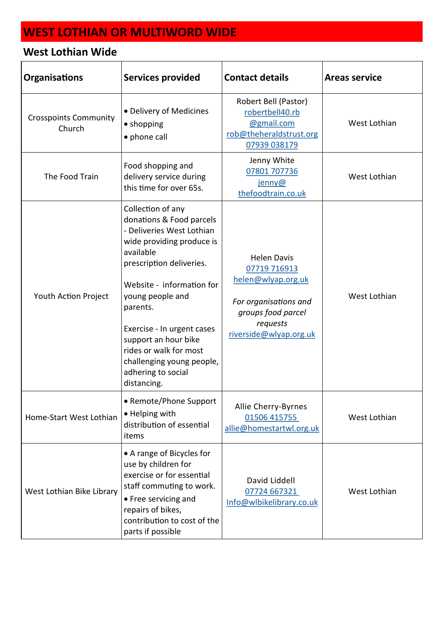| <b>Organisations</b>                   | <b>Services provided</b>                                                                                                                                                                                                                                                                                                                                        | <b>Contact details</b>                                                                                                                        | <b>Areas service</b> |
|----------------------------------------|-----------------------------------------------------------------------------------------------------------------------------------------------------------------------------------------------------------------------------------------------------------------------------------------------------------------------------------------------------------------|-----------------------------------------------------------------------------------------------------------------------------------------------|----------------------|
| <b>Crosspoints Community</b><br>Church | • Delivery of Medicines<br>• shopping<br>• phone call                                                                                                                                                                                                                                                                                                           | Robert Bell (Pastor)<br>robertbell40.rb<br>@gmail.com<br>rob@theheraldstrust.org<br>07939 038179                                              | West Lothian         |
| The Food Train                         | Food shopping and<br>delivery service during<br>this time for over 65s.                                                                                                                                                                                                                                                                                         | Jenny White<br>07801 707736<br>jenny@<br>thefoodtrain.co.uk                                                                                   | West Lothian         |
| Youth Action Project                   | Collection of any<br>donations & Food parcels<br>- Deliveries West Lothian<br>wide providing produce is<br>available<br>prescription deliveries.<br>Website - information for<br>young people and<br>parents.<br>Exercise - In urgent cases<br>support an hour bike<br>rides or walk for most<br>challenging young people,<br>adhering to social<br>distancing. | <b>Helen Davis</b><br>07719 716913<br>helen@wlyap.org.uk<br>For organisations and<br>groups food parcel<br>requests<br>riverside@wlyap.org.uk | West Lothian         |
| Home-Start West Lothian                | • Remote/Phone Support<br>• Helping with<br>distribution of essential<br>items                                                                                                                                                                                                                                                                                  | Allie Cherry-Byrnes<br>01506 415755<br>allie@homestartwl.org.uk                                                                               | West Lothian         |
| West Lothian Bike Library              | • A range of Bicycles for<br>use by children for<br>exercise or for essential<br>staff commuting to work.<br>• Free servicing and<br>repairs of bikes,<br>contribution to cost of the<br>parts if possible                                                                                                                                                      | David Liddell<br>07724 667321<br>Info@wlbikelibrary.co.uk                                                                                     | West Lothian         |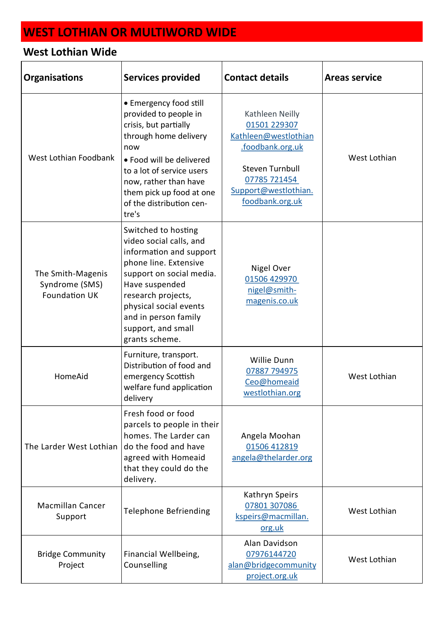| <b>Organisations</b>                                        | <b>Services provided</b>                                                                                                                                                                                                                                         | <b>Contact details</b>                                                                                                                                           | <b>Areas service</b> |
|-------------------------------------------------------------|------------------------------------------------------------------------------------------------------------------------------------------------------------------------------------------------------------------------------------------------------------------|------------------------------------------------------------------------------------------------------------------------------------------------------------------|----------------------|
| West Lothian Foodbank                                       | • Emergency food still<br>provided to people in<br>crisis, but partially<br>through home delivery<br>now<br>• Food will be delivered<br>to a lot of service users<br>now, rather than have<br>them pick up food at one<br>of the distribution cen-<br>tre's      | Kathleen Neilly<br>01501 229307<br>Kathleen@westlothian<br>.foodbank.org.uk<br><b>Steven Turnbull</b><br>07785 721454<br>Support@westlothian.<br>foodbank.org.uk | West Lothian         |
| The Smith-Magenis<br>Syndrome (SMS)<br><b>Foundation UK</b> | Switched to hosting<br>video social calls, and<br>information and support<br>phone line. Extensive<br>support on social media.<br>Have suspended<br>research projects,<br>physical social events<br>and in person family<br>support, and small<br>grants scheme. | Nigel Over<br>01506 429970<br>nigel@smith-<br>magenis.co.uk                                                                                                      |                      |
| HomeAid                                                     | Furniture, transport.<br>Distribution of food and<br>emergency Scottish<br>welfare fund application<br>delivery                                                                                                                                                  | Willie Dunn<br>07887 794975<br>Ceo@homeaid<br>westlothian.org                                                                                                    | West Lothian         |
| The Larder West Lothian                                     | Fresh food or food<br>parcels to people in their<br>homes. The Larder can<br>do the food and have<br>agreed with Homeaid<br>that they could do the<br>delivery.                                                                                                  | Angela Moohan<br>01506 412819<br>angela@thelarder.org                                                                                                            |                      |
| <b>Macmillan Cancer</b><br>Support                          | <b>Telephone Befriending</b>                                                                                                                                                                                                                                     | Kathryn Speirs<br>07801 307086<br>kspeirs@macmillan.<br>org.uk                                                                                                   | West Lothian         |
| <b>Bridge Community</b><br>Project                          | Financial Wellbeing,<br>Counselling                                                                                                                                                                                                                              | Alan Davidson<br>07976144720<br>alan@bridgecommunity<br>project.org.uk                                                                                           | West Lothian         |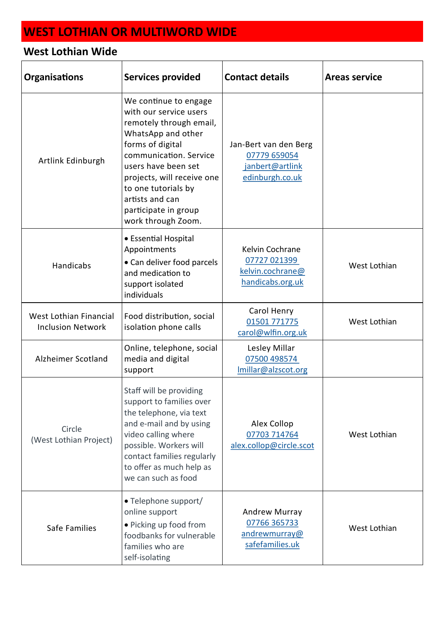| <b>Organisations</b>                               | <b>Services provided</b>                                                                                                                                                                                                                                                                    | <b>Contact details</b>                                                      | <b>Areas service</b> |
|----------------------------------------------------|---------------------------------------------------------------------------------------------------------------------------------------------------------------------------------------------------------------------------------------------------------------------------------------------|-----------------------------------------------------------------------------|----------------------|
| Artlink Edinburgh                                  | We continue to engage<br>with our service users<br>remotely through email,<br>WhatsApp and other<br>forms of digital<br>communication. Service<br>users have been set<br>projects, will receive one<br>to one tutorials by<br>artists and can<br>participate in group<br>work through Zoom. | Jan-Bert van den Berg<br>07779 659054<br>janbert@artlink<br>edinburgh.co.uk |                      |
| Handicabs                                          | • Essential Hospital<br>Appointments<br>• Can deliver food parcels<br>and medication to<br>support isolated<br>individuals                                                                                                                                                                  | Kelvin Cochrane<br>07727 021399<br>kelvin.cochrane@<br>handicabs.org.uk     | West Lothian         |
| West Lothian Financial<br><b>Inclusion Network</b> | Food distribution, social<br>isolation phone calls                                                                                                                                                                                                                                          | Carol Henry<br>01501 771775<br>carol@wlfin.org.uk                           | West Lothian         |
| Alzheimer Scotland                                 | Online, telephone, social<br>media and digital<br>support                                                                                                                                                                                                                                   | Lesley Millar<br>07500 498574<br>Imillar@alzscot.org                        |                      |
| Circle<br>(West Lothian Project)                   | Staff will be providing<br>support to families over<br>the telephone, via text<br>and e-mail and by using<br>video calling where<br>possible. Workers will<br>contact families regularly<br>to offer as much help as<br>we can such as food                                                 | Alex Collop<br>07703 714764<br>alex.collop@circle.scot                      | West Lothian         |
| Safe Families                                      | • Telephone support/<br>online support<br>· Picking up food from<br>foodbanks for vulnerable<br>families who are<br>self-isolating                                                                                                                                                          | Andrew Murray<br>07766 365733<br>andrewmurray@<br>safefamilies.uk           | West Lothian         |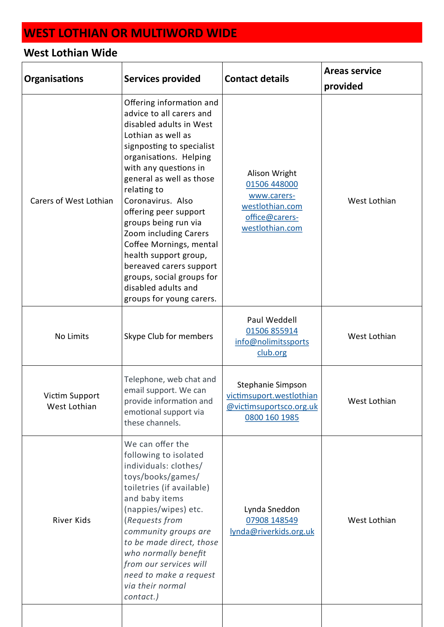| <b>Organisations</b>           | <b>Services provided</b>                                                                                                                                                                                                                                                                                                                                                                                                                                                                       | <b>Contact details</b>                                                                               | <b>Areas service</b><br>provided |
|--------------------------------|------------------------------------------------------------------------------------------------------------------------------------------------------------------------------------------------------------------------------------------------------------------------------------------------------------------------------------------------------------------------------------------------------------------------------------------------------------------------------------------------|------------------------------------------------------------------------------------------------------|----------------------------------|
| Carers of West Lothian         | Offering information and<br>advice to all carers and<br>disabled adults in West<br>Lothian as well as<br>signposting to specialist<br>organisations. Helping<br>with any questions in<br>general as well as those<br>relating to<br>Coronavirus. Also<br>offering peer support<br>groups being run via<br>Zoom including Carers<br>Coffee Mornings, mental<br>health support group,<br>bereaved carers support<br>groups, social groups for<br>disabled adults and<br>groups for young carers. | Alison Wright<br>01506 448000<br>www.carers-<br>westlothian.com<br>office@carers-<br>westlothian.com | West Lothian                     |
| No Limits                      | Skype Club for members                                                                                                                                                                                                                                                                                                                                                                                                                                                                         | Paul Weddell<br>01506 855914<br>info@nolimitssports<br>club.org                                      | West Lothian                     |
| Victim Support<br>West Lothian | Telephone, web chat and<br>email support. We can<br>provide information and<br>emotional support via<br>these channels.                                                                                                                                                                                                                                                                                                                                                                        | Stephanie Simpson<br>victimsuport.westlothian<br>@victimsuportsco.org.uk<br>0800 160 1985            | West Lothian                     |
| River Kids                     | We can offer the<br>following to isolated<br>individuals: clothes/<br>toys/books/games/<br>toiletries (if available)<br>and baby items<br>(nappies/wipes) etc.<br>(Requests from<br>community groups are<br>to be made direct, those<br>who normally benefit<br>from our services will<br>need to make a request<br>via their normal<br>contact.)                                                                                                                                              | Lynda Sneddon<br>07908 148549<br>lynda@riverkids.org.uk                                              | West Lothian                     |
|                                |                                                                                                                                                                                                                                                                                                                                                                                                                                                                                                |                                                                                                      |                                  |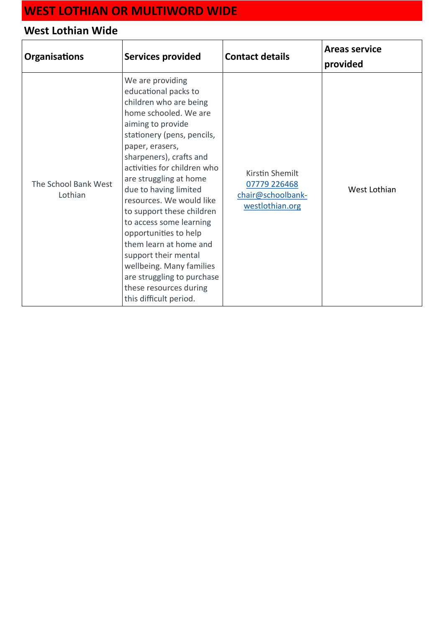| <b>Organisations</b>            | <b>Services provided</b>                                                                                                                                                                                                                                                                                                                                                                                                                                                                                                                                    | <b>Contact details</b>                                                  | <b>Areas service</b><br>provided |
|---------------------------------|-------------------------------------------------------------------------------------------------------------------------------------------------------------------------------------------------------------------------------------------------------------------------------------------------------------------------------------------------------------------------------------------------------------------------------------------------------------------------------------------------------------------------------------------------------------|-------------------------------------------------------------------------|----------------------------------|
| The School Bank West<br>Lothian | We are providing<br>educational packs to<br>children who are being<br>home schooled. We are<br>aiming to provide<br>stationery (pens, pencils,<br>paper, erasers,<br>sharpeners), crafts and<br>activities for children who<br>are struggling at home<br>due to having limited<br>resources. We would like<br>to support these children<br>to access some learning<br>opportunities to help<br>them learn at home and<br>support their mental<br>wellbeing. Many families<br>are struggling to purchase<br>these resources during<br>this difficult period. | Kirstin Shemilt<br>07779 226468<br>chair@schoolbank-<br>westlothian.org | West Lothian                     |